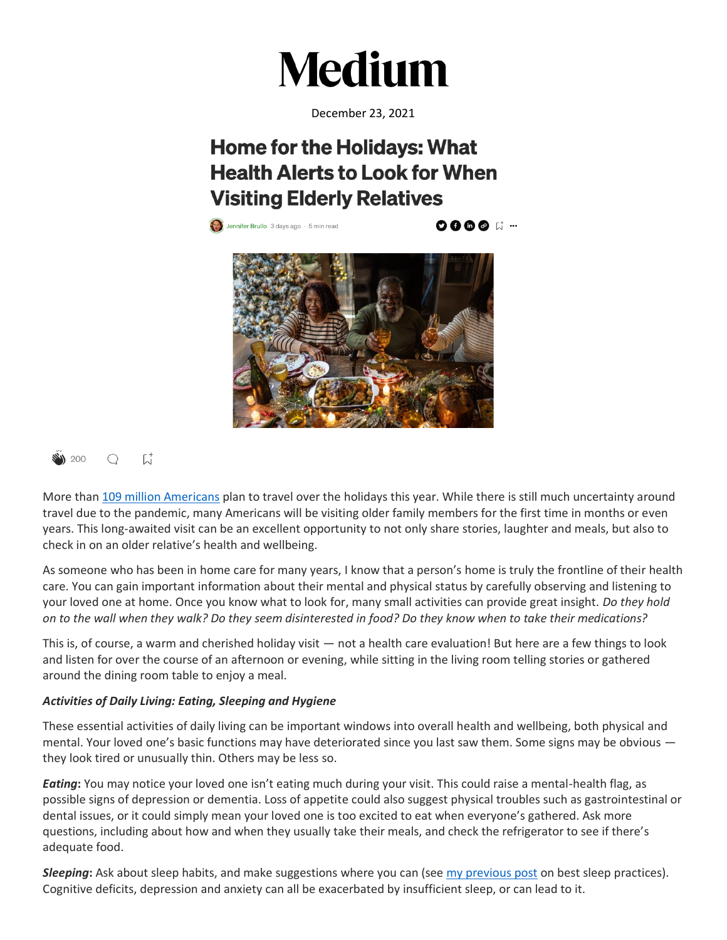

December 23, 2021

# **Home for the Holidays: What Health Alerts to Look for When Visiting Elderly Relatives**

**(2)** Jennifer Brullo 3 days ago  $\cdot$  5 min read

**OOG@** 





More than [109 million Americans](https://magazine.northeast.aaa.com/daily/travel/air-travel/traveling-for-the-holidays/) plan to travel over the holidays this year. While there is still much uncertainty around travel due to the pandemic, many Americans will be visiting older family members for the first time in months or even years. This long-awaited visit can be an excellent opportunity to not only share stories, laughter and meals, but also to check in on an older relative's health and wellbeing.

As someone who has been in home care for many years, I know that a person's home is truly the frontline of their health care. You can gain important information about their mental and physical status by carefully observing and listening to your loved one at home. Once you know what to look for, many small activities can provide great insight. *Do they hold on to the wall when they walk? Do they seem disinterested in food? Do they know when to take their medications?*

This is, of course, a warm and cherished holiday visit — not a health care evaluation! But here are a few things to look and listen for over the course of an afternoon or evening, while sitting in the living room telling stories or gathered around the dining room table to enjoy a meal.

# *Activities of Daily Living: Eating, Sleeping and Hygiene*

These essential activities of daily living can be important windows into overall health and wellbeing, both physical and mental. Your loved one's basic functions may have deteriorated since you last saw them. Some signs may be obvious they look tired or unusually thin. Others may be less so.

*Eating***:** You may notice your loved one isn't eating much during your visit. This could raise a mental-health flag, as possible signs of depression or dementia. Loss of appetite could also suggest physical troubles such as gastrointestinal or dental issues, or it could simply mean your loved one is too excited to eat when everyone's gathered. Ask more questions, including about how and when they usually take their meals, and check the refrigerator to see if there's adequate food.

*Sleeping***:** Ask about sleep habits, and make suggestions where you can (see [my previous post](https://medium.com/@jenniferrajewskivnsny/family-caregivers-getting-the-rest-you-need-to-be-the-best-you-can-be-9c6980733e76) on best sleep practices). Cognitive deficits, depression and anxiety can all be exacerbated by insufficient sleep, or can lead to it.